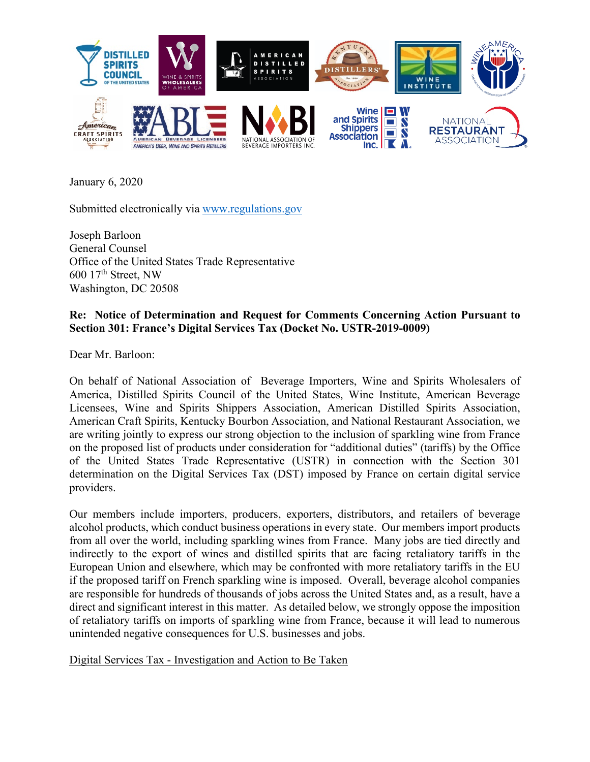

January 6, 2020

Submitted electronically via [www.regulations.gov](http://www.regulations.gov/) 

Joseph Barloon General Counsel Office of the United States Trade Representative 600 17th Street, NW Washington, DC 20508

## **Re: Notice of Determination and Request for Comments Concerning Action Pursuant to Section 301: France's Digital Services Tax (Docket No. USTR-2019-0009)**

Dear Mr. Barloon:

On behalf of National Association of Beverage Importers, Wine and Spirits Wholesalers of America, Distilled Spirits Council of the United States, Wine Institute, American Beverage Licensees, Wine and Spirits Shippers Association, American Distilled Spirits Association, American Craft Spirits, Kentucky Bourbon Association, and National Restaurant Association, we are writing jointly to express our strong objection to the inclusion of sparkling wine from France on the proposed list of products under consideration for "additional duties" (tariffs) by the Office of the United States Trade Representative (USTR) in connection with the Section 301 determination on the Digital Services Tax (DST) imposed by France on certain digital service providers.

Our members include importers, producers, exporters, distributors, and retailers of beverage alcohol products, which conduct business operations in every state. Our members import products from all over the world, including sparkling wines from France. Many jobs are tied directly and indirectly to the export of wines and distilled spirits that are facing retaliatory tariffs in the European Union and elsewhere, which may be confronted with more retaliatory tariffs in the EU if the proposed tariff on French sparkling wine is imposed. Overall, beverage alcohol companies are responsible for hundreds of thousands of jobs across the United States and, as a result, have a direct and significant interest in this matter. As detailed below, we strongly oppose the imposition of retaliatory tariffs on imports of sparkling wine from France, because it will lead to numerous unintended negative consequences for U.S. businesses and jobs.

Digital Services Tax - Investigation and Action to Be Taken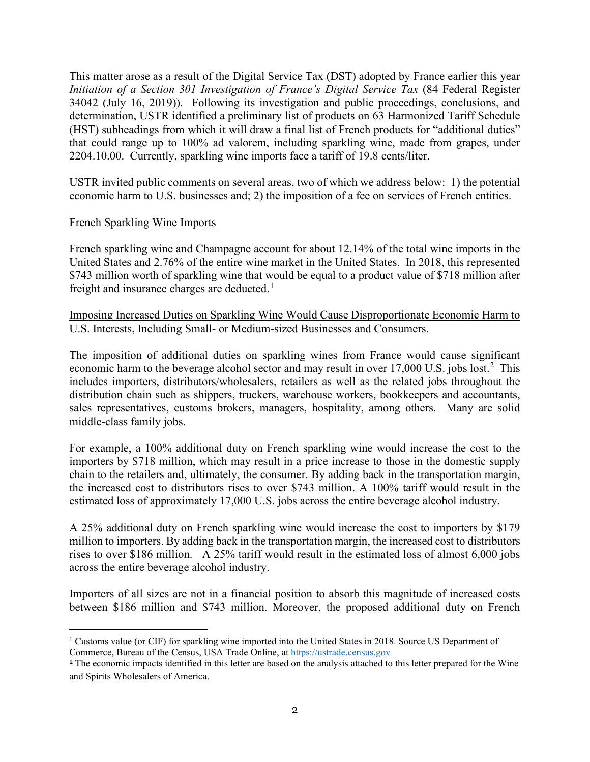This matter arose as a result of the Digital Service Tax (DST) adopted by France earlier this year *Initiation of a Section 301 Investigation of France's Digital Service Tax* (84 Federal Register 34042 (July 16, 2019)). Following its investigation and public proceedings, conclusions, and determination, USTR identified a preliminary list of products on 63 Harmonized Tariff Schedule (HST) subheadings from which it will draw a final list of French products for "additional duties" that could range up to 100% ad valorem, including sparkling wine, made from grapes, under 2204.10.00. Currently, sparkling wine imports face a tariff of 19.8 cents/liter.

USTR invited public comments on several areas, two of which we address below: 1) the potential economic harm to U.S. businesses and; 2) the imposition of a fee on services of French entities.

## French Sparkling Wine Imports

French sparkling wine and Champagne account for about 12.14% of the total wine imports in the United States and 2.76% of the entire wine market in the United States. In 2018, this represented \$743 million worth of sparkling wine that would be equal to a product value of \$718 million after freight and insurance charges are deducted.<sup>[1](#page-1-0)</sup>

Imposing Increased Duties on Sparkling Wine Would Cause Disproportionate Economic Harm to U.S. Interests, Including Small- or Medium-sized Businesses and Consumers.

The imposition of additional duties on sparkling wines from France would cause significant economic harm to the beverage alcohol sector and may result in over 17,000 U.S. jobs lost.<sup>[2](#page-1-1)</sup> This includes importers, distributors/wholesalers, retailers as well as the related jobs throughout the distribution chain such as shippers, truckers, warehouse workers, bookkeepers and accountants, sales representatives, customs brokers, managers, hospitality, among others. Many are solid middle-class family jobs.

For example, a 100% additional duty on French sparkling wine would increase the cost to the importers by \$718 million, which may result in a price increase to those in the domestic supply chain to the retailers and, ultimately, the consumer. By adding back in the transportation margin, the increased cost to distributors rises to over \$743 million. A 100% tariff would result in the estimated loss of approximately 17,000 U.S. jobs across the entire beverage alcohol industry.

A 25% additional duty on French sparkling wine would increase the cost to importers by \$179 million to importers. By adding back in the transportation margin, the increased cost to distributors rises to over \$186 million. A 25% tariff would result in the estimated loss of almost 6,000 jobs across the entire beverage alcohol industry.

Importers of all sizes are not in a financial position to absorb this magnitude of increased costs between \$186 million and \$743 million. Moreover, the proposed additional duty on French

<span id="page-1-0"></span> $1$  Customs value (or CIF) for sparkling wine imported into the United States in 2018. Source US Department of Commerce, Bureau of the Census, USA Trade Online, at [https://ustrade.census.gov](https://ustrade.census.gov/) 

<span id="page-1-1"></span><sup>2</sup> The economic impacts identified in this letter are based on the analysis attached to this letter prepared for the Wine and Spirits Wholesalers of America.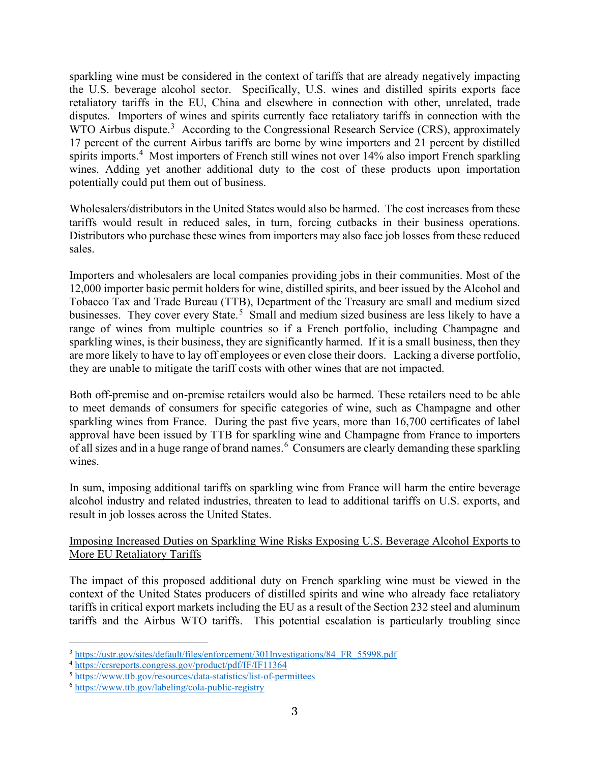sparkling wine must be considered in the context of tariffs that are already negatively impacting the U.S. beverage alcohol sector. Specifically, U.S. wines and distilled spirits exports face retaliatory tariffs in the EU, China and elsewhere in connection with other, unrelated, trade disputes. Importers of wines and spirits currently face retaliatory tariffs in connection with the WTO Airbus dispute.<sup>[3](#page-2-0)</sup> According to the Congressional Research Service (CRS), approximately 17 percent of the current Airbus tariffs are borne by wine importers and 21 percent by distilled spirits imports.<sup>[4](#page-2-1)</sup> Most importers of French still wines not over 14% also import French sparkling wines. Adding yet another additional duty to the cost of these products upon importation potentially could put them out of business.

Wholesalers/distributors in the United States would also be harmed. The cost increases from these tariffs would result in reduced sales, in turn, forcing cutbacks in their business operations. Distributors who purchase these wines from importers may also face job losses from these reduced sales.

Importers and wholesalers are local companies providing jobs in their communities. Most of the 12,000 importer basic permit holders for wine, distilled spirits, and beer issued by the Alcohol and Tobacco Tax and Trade Bureau (TTB), Department of the Treasury are small and medium sized businesses. They cover every State.<sup>[5](#page-2-2)</sup> Small and medium sized business are less likely to have a range of wines from multiple countries so if a French portfolio, including Champagne and sparkling wines, is their business, they are significantly harmed. If it is a small business, then they are more likely to have to lay off employees or even close their doors. Lacking a diverse portfolio, they are unable to mitigate the tariff costs with other wines that are not impacted.

Both off-premise and on-premise retailers would also be harmed. These retailers need to be able to meet demands of consumers for specific categories of wine, such as Champagne and other sparkling wines from France. During the past five years, more than 16,700 certificates of label approval have been issued by TTB for sparkling wine and Champagne from France to importers of all sizes and in a huge range of brand names.  $^6$  $^6$  Consumers are clearly demanding these sparkling wines.

In sum, imposing additional tariffs on sparkling wine from France will harm the entire beverage alcohol industry and related industries, threaten to lead to additional tariffs on U.S. exports, and result in job losses across the United States.

# Imposing Increased Duties on Sparkling Wine Risks Exposing U.S. Beverage Alcohol Exports to More EU Retaliatory Tariffs

The impact of this proposed additional duty on French sparkling wine must be viewed in the context of the United States producers of distilled spirits and wine who already face retaliatory tariffs in critical export markets including the EU as a result of the Section 232 steel and aluminum tariffs and the Airbus WTO tariffs. This potential escalation is particularly troubling since

<span id="page-2-0"></span><sup>3</sup> [https://ustr.gov/sites/default/files/enforcement/301Investigations/84\\_FR\\_55998.pdf](https://ustr.gov/sites/default/files/enforcement/301Investigations/84_FR_55998.pdf) 4 <https://crsreports.congress.gov/product/pdf/IF/IF11364>

<span id="page-2-1"></span>

<span id="page-2-3"></span><span id="page-2-2"></span><sup>5</sup> <https://www.ttb.gov/resources/data-statistics/list-of-permittees>6 <https://www.ttb.gov/labeling/cola-public-registry>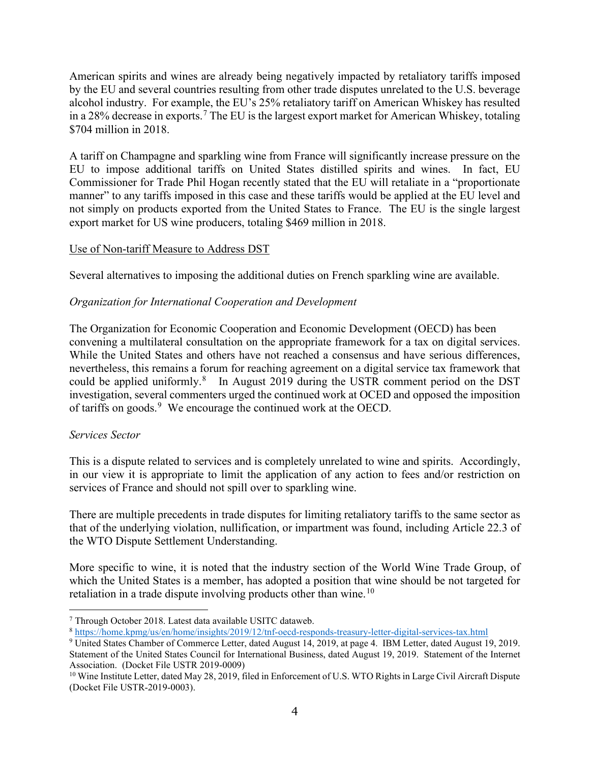American spirits and wines are already being negatively impacted by retaliatory tariffs imposed by the EU and several countries resulting from other trade disputes unrelated to the U.S. beverage alcohol industry. For example, the EU's 25% retaliatory tariff on American Whiskey has resulted in a 28% decrease in exports.<sup>[7](#page-3-0)</sup> The EU is the largest export market for American Whiskey, totaling \$704 million in 2018.

A tariff on Champagne and sparkling wine from France will significantly increase pressure on the EU to impose additional tariffs on United States distilled spirits and wines. In fact, EU Commissioner for Trade Phil Hogan recently stated that the EU will retaliate in a "proportionate manner" to any tariffs imposed in this case and these tariffs would be applied at the EU level and not simply on products exported from the United States to France. The EU is the single largest export market for US wine producers, totaling \$469 million in 2018.

## Use of Non-tariff Measure to Address DST

Several alternatives to imposing the additional duties on French sparkling wine are available.

## *Organization for International Cooperation and Development*

The Organization for Economic Cooperation and Economic Development (OECD) has been convening a multilateral consultation on the appropriate framework for a tax on digital services. While the United States and others have not reached a consensus and have serious differences, nevertheless, this remains a forum for reaching agreement on a digital service tax framework that could be applied uniformly.<sup>[8](#page-3-1)</sup> In August 2019 during the USTR comment period on the DST investigation, several commenters urged the continued work at OCED and opposed the imposition of tariffs on goods.<sup>[9](#page-3-2)</sup> We encourage the continued work at the OECD.

### *Services Sector*

This is a dispute related to services and is completely unrelated to wine and spirits. Accordingly, in our view it is appropriate to limit the application of any action to fees and/or restriction on services of France and should not spill over to sparkling wine.

There are multiple precedents in trade disputes for limiting retaliatory tariffs to the same sector as that of the underlying violation, nullification, or impartment was found, including Article 22.3 of the WTO Dispute Settlement Understanding.

More specific to wine, it is noted that the industry section of the World Wine Trade Group, of which the United States is a member, has adopted a position that wine should be not targeted for retaliation in a trade dispute involving products other than wine.<sup>[10](#page-3-3)</sup>

<span id="page-3-1"></span><span id="page-3-0"></span><sup>&</sup>lt;sup>7</sup> Through October 2018. Latest data available USITC dataweb.<br><sup>8</sup> https://home.kpmg/us/en/home/insights/2019/12/tnf-oecd-responds-treasury-letter-digital-services-tax.html

<span id="page-3-2"></span><sup>&</sup>lt;sup>9</sup> United States Chamber of Commerce Letter, dated August 14, 2019, at page 4. IBM Letter, dated August 19, 2019. Statement of the United States Council for International Business, dated August 19, 2019. Statement of the Internet Association. (Docket File USTR 2019-0009)<br><sup>10</sup> Wine Institute Letter, dated May 28, 2019, filed in Enforcement of U.S. WTO Rights in Large Civil Aircraft Dispute

<span id="page-3-3"></span><sup>(</sup>Docket File USTR-2019-0003).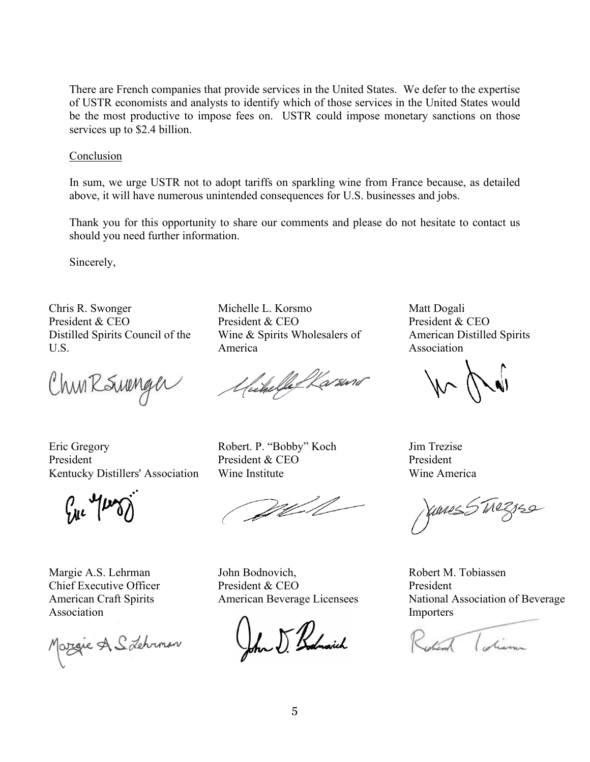There are French companies that provide services in the United States. We defer to the expertise of USTR economists and analysts to identify which of those services in the United States would be the most productive to impose fees on. USTR could impose monetary sanctions on those services up to \$2.4 billion.

#### Conclusion

In sum, we urge USTR not to adopt tariffs on sparkling wine from France because, as detailed above, it will have numerous unintended consequences for U.S. businesses and jobs.

Thank you for this opportunity to share our comments and please do not hesitate to contact us should you need further information.

Sincerely,

Chris R. Swonger President & CEO Distilled Spirits Council of the U.S.

ChunRSunger

Eric Gregory President Kentucky Distillers' Association

 $ln \sqrt{\mu \gamma}$ 

Margie A.S. Lehrman Chief Executive Officer American Craft Spirits Association

Margie A. S. Lehrmon

Michelle L. Korsmo President & CEO Wine & Spirits Wholesalers of America

Unchelle Warsens

Robert. P. "Bobby" Koch President & CEO Wine Institute

Well

John Bodnovich, President & CEO American Beverage Licensees

for J Bodnovich

Matt Dogali President & CEO American Distilled Spirits Association

 $\mathbb{N}$ 

Jim Trezise President Wine America

Junes 5 Trezzes

Robert M. Tobiassen President National Association of Beverage Importers

Robert Colian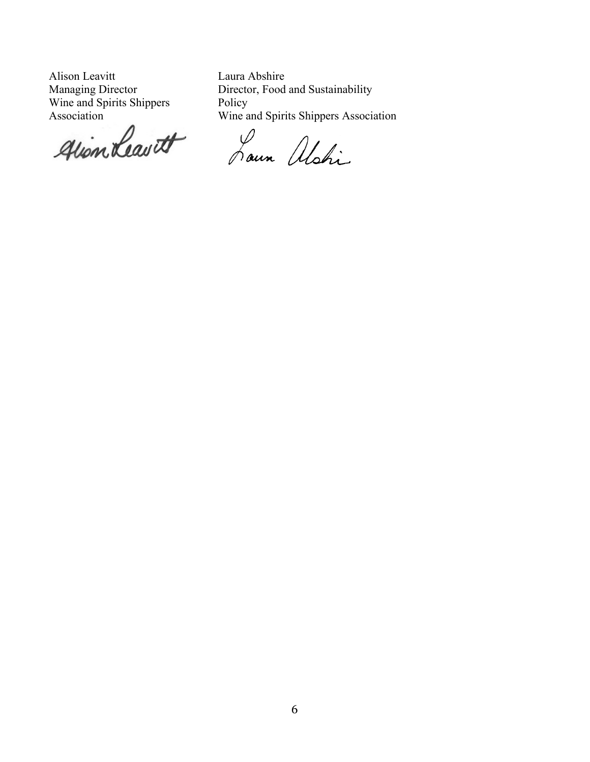Alison Leavitt Managing Director Wine and Spirits Shippers

Association<br>glion Leavett

Laura Abshire Director, Food and Sustainability Policy Wine and Spirits Shippers Association

Lour Alshi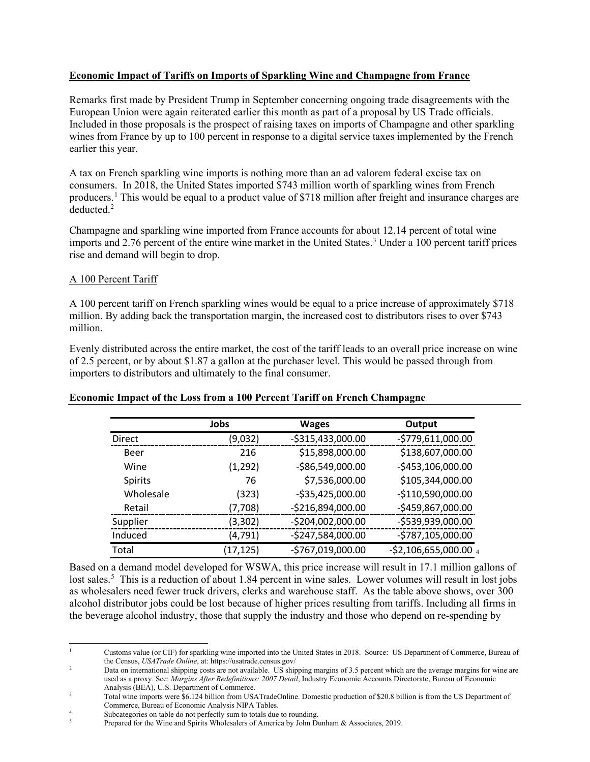### **Economic Impact of Tariffs on Imports of Sparkling Wine and Champagne from France**

Remarks first made by President Trump in September concerning ongoing trade disagreements with the European Union were again reiterated earlier this month as part of a proposal by US Trade officials. Included in those proposals is the prospect of raising taxes on imports of Champagne and other sparkling wines from France by up to 100 percent in response to a digital service taxes implemented by the French earlier this year.

A tax on French sparkling wine imports is nothing more than an ad valorem federal excise tax on consumers. In 2018, the United States imported \$743 million worth of sparkling wines from French producers. [1](#page-6-0) This would be equal to a product value of \$718 million after freight and insurance charges are deducted.<sup>[2](#page-6-1)</sup>

Champagne and sparkling wine imported from France accounts for about 12.14 percent of total wine imports and 2.76 percent of the entire wine market in the United States.<sup>[3](#page-6-2)</sup> Under a 100 percent tariff prices rise and demand will begin to drop.

#### A 100 Percent Tariff

A 100 percent tariff on French sparkling wines would be equal to a price increase of approximately \$718 million. By adding back the transportation margin, the increased cost to distributors rises to over \$743 million.

Evenly distributed across the entire market, the cost of the tariff leads to an overall price increase on wine of 2.5 percent, or by about \$1.87 a gallon at the purchaser level. This would be passed through from importers to distributors and ultimately to the final consumer.

#### **Economic Impact of the Loss from a 100 Percent Tariff on French Champagne**

|           | Jobs      | <b>Wages</b>      | Output                |
|-----------|-----------|-------------------|-----------------------|
| Direct    | (9,032)   | -\$315,433,000.00 | -\$779,611,000.00     |
| Beer      | 216       | \$15,898,000.00   | \$138,607,000.00      |
| Wine      | (1,292)   | -\$86,549,000.00  | -\$453,106,000.00     |
| Spirits   | 76        | \$7,536,000.00    | \$105,344,000.00      |
| Wholesale | (323)     | $-535,425,000.00$ | -\$110,590,000.00     |
| Retail    | (7,708)   | -\$216,894,000.00 | -\$459,867,000.00     |
| Supplier  | (3,302)   | -\$204,002,000.00 | -\$539,939,000.00     |
| Induced   | (4, 791)  | -\$247,584,000.00 | -\$787,105,000.00     |
| Total     | (17, 125) | -\$767,019,000.00 | -\$2,106,655,000.00 4 |

Based on a demand model developed for WSWA, this price increase will result in 17.1 million gallons of lost sales.<sup>[5](#page-6-4)</sup> This is a reduction of about 1.84 percent in wine sales. Lower volumes will result in lost jobs as wholesalers need fewer truck drivers, clerks and warehouse staff. As the table above shows, over 300 alcohol distributor jobs could be lost because of higher prices resulting from tariffs. Including all firms in the beverage alcohol industry, those that supply the industry and those who depend on re-spending by

<span id="page-6-0"></span><sup>1</sup> Customs value (or CIF) for sparkling wine imported into the United States in 2018. Source: US Department of Commerce, Bureau of the Census, *USATrade Online*, at: https://usatrade.census.gov/

<span id="page-6-1"></span><sup>&</sup>lt;sup>2</sup> Data on international shipping costs are not available. US shipping margins of 3.5 percent which are the average margins for wine are used as a proxy. See: *Margins After Redefinitions: 2007 Detail*, Industry Economic Accounts Directorate, Bureau of Economic Analysis (BEA), U.S. Department of Commerce.

<span id="page-6-2"></span><sup>3</sup> Total wine imports were \$6.124 billion from USATradeOnline. Domestic production of \$20.8 billion is from the US Department of Commerce, Bureau of Economic Analysis NIPA Tables.

<span id="page-6-4"></span><span id="page-6-3"></span><sup>&</sup>lt;sup>4</sup><br>Subcategories on table do not perfectly sum to totals due to rounding.

<sup>5</sup> Prepared for the Wine and Spirits Wholesalers of America by John Dunham & Associates, 2019.